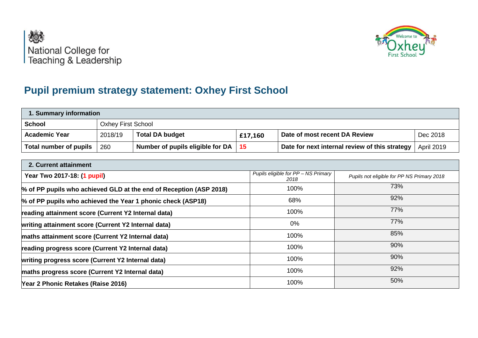



## **Pupil premium strategy statement: Oxhey First School**

| 1. Summary information |                                                                                           |                                  |                 |                                                |                   |  |
|------------------------|-------------------------------------------------------------------------------------------|----------------------------------|-----------------|------------------------------------------------|-------------------|--|
| <b>School</b>          | <b>Oxhey First School</b>                                                                 |                                  |                 |                                                |                   |  |
| <b>Academic Year</b>   | 2018/19<br>Dec 2018<br><b>Total DA budget</b><br>Date of most recent DA Review<br>£17,160 |                                  |                 |                                                |                   |  |
| Total number of pupils | 260                                                                                       | Number of pupils eligible for DA | $\overline{15}$ | Date for next internal review of this strategy | <b>April 2019</b> |  |

| 2. Current attainment                                              |                                             |                                            |
|--------------------------------------------------------------------|---------------------------------------------|--------------------------------------------|
| Year Two 2017-18: (1 pupil)                                        | Pupils eligible for PP - NS Primary<br>2018 | Pupils not eligible for PP NS Primary 2018 |
| % of PP pupils who achieved GLD at the end of Reception (ASP 2018) | 100%                                        | 73%                                        |
| % of PP pupils who achieved the Year 1 phonic check (ASP18)        | 68%                                         | 92%                                        |
| reading attainment score (Current Y2 Internal data)                | 100%                                        | 77%                                        |
| writing attainment score (Current Y2 Internal data)                | $0\%$                                       | 77%                                        |
| maths attainment score (Current Y2 Internal data)                  | 100%                                        | 85%                                        |
| reading progress score (Current Y2 Internal data)                  | 100%                                        | 90%                                        |
| writing progress score (Current Y2 Internal data)                  | 100%                                        | 90%                                        |
| maths progress score (Current Y2 Internal data)                    | 100%                                        | 92%                                        |
| Year 2 Phonic Retakes (Raise 2016)                                 | 100%                                        | 50%                                        |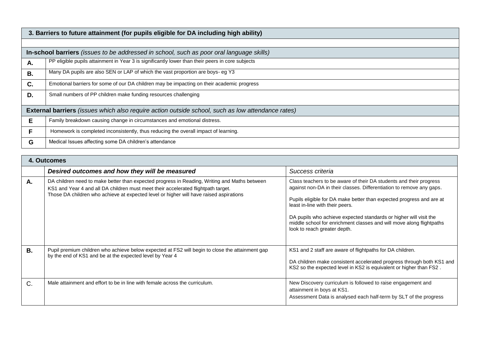|           | 3. Barriers to future attainment (for pupils eligible for DA including high ability)                     |  |  |  |  |
|-----------|----------------------------------------------------------------------------------------------------------|--|--|--|--|
|           |                                                                                                          |  |  |  |  |
|           | In-school barriers (issues to be addressed in school, such as poor oral language skills)                 |  |  |  |  |
| А.        | PP eligible pupils attainment in Year 3 is significantly lower than their peers in core subjects         |  |  |  |  |
| <b>B.</b> | Many DA pupils are also SEN or LAP of which the vast proportion are boys- eg Y3                          |  |  |  |  |
| C.        | Emotional barriers for some of our DA children may be impacting on their academic progress               |  |  |  |  |
| D.        | Small numbers of PP children make funding resources challenging                                          |  |  |  |  |
|           | <b>External barriers</b> (issues which also require action outside school, such as low attendance rates) |  |  |  |  |
| Е         | Family breakdown causing change in circumstances and emotional distress.                                 |  |  |  |  |
| F         | Homework is completed inconsistently, thus reducing the overall impact of learning.                      |  |  |  |  |
| G         | Medical Issues affecting some DA children's attendance                                                   |  |  |  |  |

|             | 4. Outcomes                                                                                                                                                                                                                                                                 |                                                                                                                                                                                                                                                                                                                                                                                                                                    |
|-------------|-----------------------------------------------------------------------------------------------------------------------------------------------------------------------------------------------------------------------------------------------------------------------------|------------------------------------------------------------------------------------------------------------------------------------------------------------------------------------------------------------------------------------------------------------------------------------------------------------------------------------------------------------------------------------------------------------------------------------|
|             | Desired outcomes and how they will be measured                                                                                                                                                                                                                              | Success criteria                                                                                                                                                                                                                                                                                                                                                                                                                   |
| А.          | DA children need to make better than expected progress in Reading, Writing and Maths between<br>KS1 and Year 4 and all DA children must meet their accelerated flightpath target.<br>Those DA children who achieve at expected level or higher will have raised aspirations | Class teachers to be aware of their DA students and their progress<br>against non-DA in their classes. Differentiation to remove any gaps.<br>Pupils eligible for DA make better than expected progress and are at<br>least in-line with their peers.<br>DA pupils who achieve expected standards or higher will visit the<br>middle school for enrichment classes and will move along flightpaths<br>look to reach greater depth. |
| <b>B.</b>   | Pupil premium children who achieve below expected at FS2 will begin to close the attainment gap<br>by the end of KS1 and be at the expected level by Year 4                                                                                                                 | KS1 and 2 staff are aware of flightpaths for DA children.<br>DA children make consistent accelerated progress through both KS1 and<br>KS2 so the expected level in KS2 is equivalent or higher than FS2.                                                                                                                                                                                                                           |
| $C_{\cdot}$ | Male attainment and effort to be in line with female across the curriculum.                                                                                                                                                                                                 | New Discovery curriculum is followed to raise engagement and<br>attainment in boys at KS1.<br>Assessment Data is analysed each half-term by SLT of the progress                                                                                                                                                                                                                                                                    |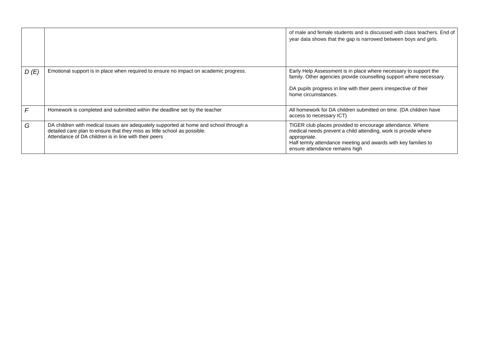|      |                                                                                                                                                                                                                             | of male and female students and is discussed with class teachers. End of<br>year data shows that the gap is narrowed between boys and girls.                                                                                                    |
|------|-----------------------------------------------------------------------------------------------------------------------------------------------------------------------------------------------------------------------------|-------------------------------------------------------------------------------------------------------------------------------------------------------------------------------------------------------------------------------------------------|
| D(E) | Emotional support is in place when required to ensure no impact on academic progress.                                                                                                                                       | Early Help Assessment is in place where necessary to support the<br>family. Other agencies provide counselling support where necessary.<br>DA pupils progress in line with their peers irrespective of their<br>home circumstances.             |
|      | Homework is completed and submitted within the deadline set by the teacher                                                                                                                                                  | All homework for DA children submitted on time. (DA children have<br>access to necessary ICT)                                                                                                                                                   |
| G    | DA children with medical issues are adequately supported at home and school through a<br>detailed care plan to ensure that they miss as little school as possible.<br>Attendance of DA children is in line with their peers | TIGER club places provided to encourage attendance. Where<br>medical needs prevent a child attending, work is provide where<br>appropriate.<br>Half termly attendance meeting and awards with key families to<br>ensure attendance remains high |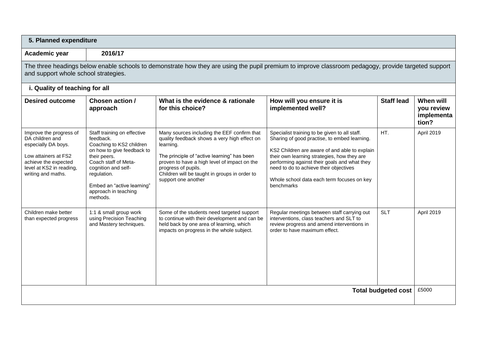| 5. Planned expenditure                                                                                                                                                                      |                                                                                                                                                                                                                                                    |                                                                                                                                                                                                                                                                                                        |                                                                                                                                                                                                                                                                                                                                                     |                   |                                                |  |
|---------------------------------------------------------------------------------------------------------------------------------------------------------------------------------------------|----------------------------------------------------------------------------------------------------------------------------------------------------------------------------------------------------------------------------------------------------|--------------------------------------------------------------------------------------------------------------------------------------------------------------------------------------------------------------------------------------------------------------------------------------------------------|-----------------------------------------------------------------------------------------------------------------------------------------------------------------------------------------------------------------------------------------------------------------------------------------------------------------------------------------------------|-------------------|------------------------------------------------|--|
| 2016/17<br>Academic year                                                                                                                                                                    |                                                                                                                                                                                                                                                    |                                                                                                                                                                                                                                                                                                        |                                                                                                                                                                                                                                                                                                                                                     |                   |                                                |  |
| The three headings below enable schools to demonstrate how they are using the pupil premium to improve classroom pedagogy, provide targeted support<br>and support whole school strategies. |                                                                                                                                                                                                                                                    |                                                                                                                                                                                                                                                                                                        |                                                                                                                                                                                                                                                                                                                                                     |                   |                                                |  |
| i. Quality of teaching for all                                                                                                                                                              |                                                                                                                                                                                                                                                    |                                                                                                                                                                                                                                                                                                        |                                                                                                                                                                                                                                                                                                                                                     |                   |                                                |  |
| <b>Desired outcome</b>                                                                                                                                                                      | Chosen action /<br>approach                                                                                                                                                                                                                        | What is the evidence & rationale<br>for this choice?                                                                                                                                                                                                                                                   | How will you ensure it is<br>implemented well?                                                                                                                                                                                                                                                                                                      | <b>Staff lead</b> | When will<br>you review<br>implementa<br>tion? |  |
| Improve the progress of<br>DA children and<br>especially DA boys.<br>Low attainers at FS2<br>achieve the expected<br>level at KS2 in reading,<br>writing and maths.                         | Staff training on effective<br>feedback.<br>Coaching to KS2 children<br>on how to give feedback to<br>their peers.<br>Coach staff of Meta-<br>cognition and self-<br>regulation.<br>Embed an "active learning"<br>approach in teaching<br>methods. | Many sources including the EEF confirm that<br>quality feedback shows a very high effect on<br>learning.<br>The principle of "active learning" has been<br>proven to have a high level of impact on the<br>progress of pupils.<br>Children will be taught in groups in order to<br>support one another | Specialist training to be given to all staff.<br>Sharing of good practise, to embed learning.<br>KS2 Children are aware of and able to explain<br>their own learning strategies, how they are<br>performing against their goals and what they<br>need to do to achieve their objectives<br>Whole school data each term focuses on key<br>benchmarks | HT.               | April 2019                                     |  |
| Children make better<br>than expected progress                                                                                                                                              | 1:1 & small group work<br>using Precision Teaching<br>and Mastery techniques.                                                                                                                                                                      | Some of the students need targeted support<br>to continue with their development and can be<br>held back by one area of learning, which<br>impacts on progress in the whole subject.                                                                                                                   | Regular meetings between staff carrying out<br>interventions, class teachers and SLT to<br>review progress and amend interventions in<br>order to have maximum effect.                                                                                                                                                                              | <b>SLT</b>        | April 2019                                     |  |
| <b>Total budgeted cost</b>                                                                                                                                                                  |                                                                                                                                                                                                                                                    |                                                                                                                                                                                                                                                                                                        |                                                                                                                                                                                                                                                                                                                                                     |                   | £5000                                          |  |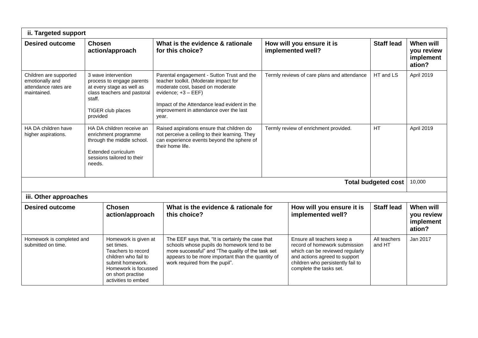| ii. Targeted support                                                                                                                                                        |                                                                                                                                                         |                                              |                                                                                                                                                                                                                                                                                                       |                                             |                                                                                                                                        |                            |                                                |
|-----------------------------------------------------------------------------------------------------------------------------------------------------------------------------|---------------------------------------------------------------------------------------------------------------------------------------------------------|----------------------------------------------|-------------------------------------------------------------------------------------------------------------------------------------------------------------------------------------------------------------------------------------------------------------------------------------------------------|---------------------------------------------|----------------------------------------------------------------------------------------------------------------------------------------|----------------------------|------------------------------------------------|
| <b>Desired outcome</b>                                                                                                                                                      | <b>Chosen</b>                                                                                                                                           | action/approach                              | What is the evidence & rationale<br>for this choice?                                                                                                                                                                                                                                                  |                                             | How will you ensure it is<br>implemented well?                                                                                         | <b>Staff lead</b>          | When will<br>you review<br>implement<br>ation? |
| Children are supported<br>emotionally and<br>attendance rates are<br>maintained.                                                                                            | 3 wave intervention<br>process to engage parents<br>at every stage as well as<br>class teachers and pastoral<br>staff.<br>TIGER club places<br>provided |                                              | Parental engagement - Sutton Trust and the<br>teacher toolkit. (Moderate impact for<br>moderate cost, based on moderate<br>evidence; +3 - EEF)<br>Impact of the Attendance lead evident in the<br>improvement in attendance over the last<br>year.                                                    | Termly reviews of care plans and attendance |                                                                                                                                        | HT and LS                  | April 2019                                     |
| HA DA children have<br>higher aspirations.                                                                                                                                  | HA DA children receive an<br>enrichment programme<br>through the middle school.<br>Extended curriculum<br>sessions tailored to their<br>needs.          |                                              | Raised aspirations ensure that children do<br>not perceive a ceiling to their learning. They<br>can experience events beyond the sphere of<br>their home life.                                                                                                                                        | Termly review of enrichment provided.       |                                                                                                                                        | <b>HT</b>                  | April 2019                                     |
|                                                                                                                                                                             |                                                                                                                                                         |                                              |                                                                                                                                                                                                                                                                                                       |                                             |                                                                                                                                        | <b>Total budgeted cost</b> | 10,000                                         |
| iii. Other approaches                                                                                                                                                       |                                                                                                                                                         |                                              |                                                                                                                                                                                                                                                                                                       |                                             |                                                                                                                                        |                            |                                                |
| <b>Chosen</b><br><b>Desired outcome</b>                                                                                                                                     |                                                                                                                                                         | action/approach                              | What is the evidence & rationale for<br>this choice?                                                                                                                                                                                                                                                  |                                             | How will you ensure it is<br>implemented well?                                                                                         | <b>Staff lead</b>          | When will<br>you review<br>implement<br>ation? |
| Homework is completed and<br>submitted on time.<br>set times.<br>Teachers to record<br>children who fail to<br>submit homework.<br>on short practise<br>activities to embed |                                                                                                                                                         | Homework is given at<br>Homework is focussed | The EEF says that, "It is certainly the case that<br>Ensure all teachers keep a<br>schools whose pupils do homework tend to be<br>more successful" and "The quality of the task set<br>appears to be more important than the quantity of<br>work required from the pupil".<br>complete the tasks set. |                                             | record of homework submission<br>which can be reviewed regularly<br>and actions agreed to support<br>children who persistently fail to | All teachers<br>and HT     | Jan 2017                                       |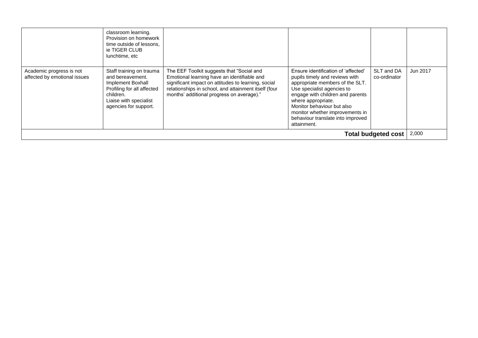|                                                          | classroom learning.<br>Provision on homework<br>time outside of lessons,<br>ie TIGER CLUB<br>lunchtime, etc                                                     |                                                                                                                                                                                                                                                      |                                                                                                                                                                                                                                                                                                                       |                            |          |
|----------------------------------------------------------|-----------------------------------------------------------------------------------------------------------------------------------------------------------------|------------------------------------------------------------------------------------------------------------------------------------------------------------------------------------------------------------------------------------------------------|-----------------------------------------------------------------------------------------------------------------------------------------------------------------------------------------------------------------------------------------------------------------------------------------------------------------------|----------------------------|----------|
| Academic progress is not<br>affected by emotional issues | Staff training on trauma<br>and bereavement.<br>Implement Boxhall<br>Profiling for all affected<br>children.<br>Liaise with specialist<br>agencies for support. | The EEF Toolkit suggests that "Social and<br>Emotional learning have an identifiable and<br>significant impact on attitudes to learning, social<br>relationships in school, and attainment itself (four<br>months' additional progress on average)." | Ensure identification of 'affected'<br>pupils timely and reviews with<br>appropriate members of the SLT.<br>Use specialist agencies to<br>engage with children and parents<br>where appropriate.<br>Monitor behaviour but also<br>monitor whether improvements in<br>behaviour translate into improved<br>attainment. | SLT and DA<br>co-ordinator | Jun 2017 |
| <b>Total budgeted cost</b>                               |                                                                                                                                                                 |                                                                                                                                                                                                                                                      |                                                                                                                                                                                                                                                                                                                       |                            | 2,000    |